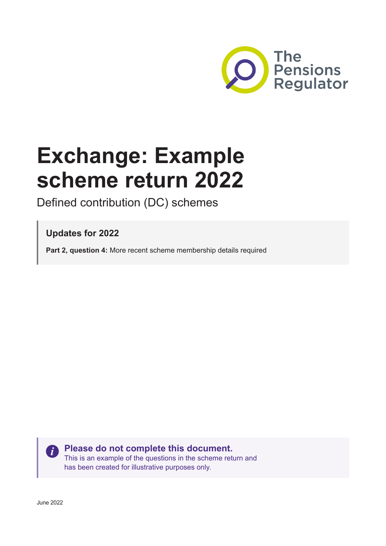

# **Exchange: Example scheme return 2022**

Defined contribution (DC) schemes

**Updates for 2022**

**Part 2, question 4:** More recent scheme membership details required

 $\ddot{\mathbf{i}}$ 

**Please do not complete this document.**

This is an example of the questions in the scheme return and has been created for illustrative purposes only.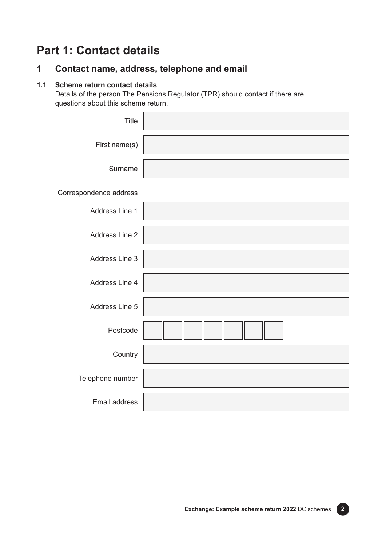## **Part 1: Contact details**

## **1 Contact name, address, telephone and email**

#### **1.1 Scheme return contact details**

Details of the person The Pensions Regulator (TPR) should contact if there are questions about this scheme return.

| <b>Title</b>           |  |
|------------------------|--|
| First name(s)          |  |
| Surname                |  |
| Correspondence address |  |
| Address Line 1         |  |
| Address Line 2         |  |
| Address Line 3         |  |
| Address Line 4         |  |
| Address Line 5         |  |
| Postcode               |  |
| Country                |  |
| Telephone number       |  |
| Email address          |  |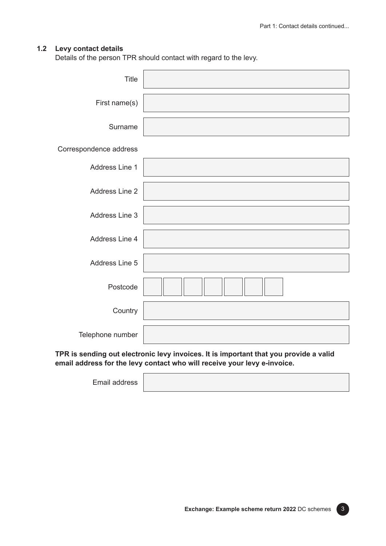#### **1.2 Levy contact details**

Details of the person TPR should contact with regard to the levy.

| <b>Title</b>           |  |
|------------------------|--|
| First name(s)          |  |
| Surname                |  |
| Correspondence address |  |
| Address Line 1         |  |
| Address Line 2         |  |
| Address Line 3         |  |
| Address Line 4         |  |
| Address Line 5         |  |
| Postcode               |  |
| Country                |  |
| Telephone number       |  |

**TPR is sending out electronic levy invoices. It is important that you provide a valid email address for the levy contact who will receive your levy e-invoice.**

Email address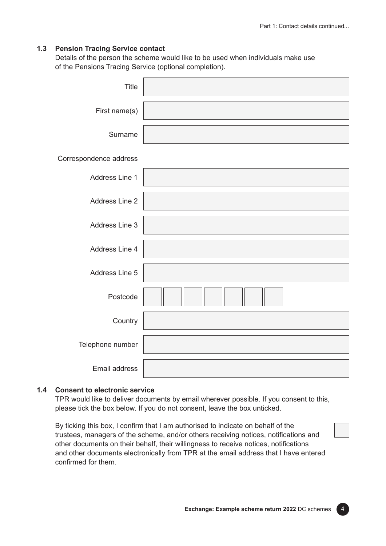#### **1.3 Pension Tracing Service contact**

Details of the person the scheme would like to be used when individuals make use of the Pensions Tracing Service (optional completion).

| Title                  |  |
|------------------------|--|
| First name(s)          |  |
| Surname                |  |
| Correspondence address |  |
| Address Line 1         |  |
| Address Line 2         |  |
| Address Line 3         |  |
| Address Line 4         |  |
| Address Line 5         |  |
| Postcode               |  |
| Country                |  |
| Telephone number       |  |
| <b>Email address</b>   |  |

#### **1.4 Consent to electronic service**

TPR would like to deliver documents by email wherever possible. If you consent to this, please tick the box below. If you do not consent, leave the box unticked.

By ticking this box, I confirm that I am authorised to indicate on behalf of the trustees, managers of the scheme, and/or others receiving notices, notifications and other documents on their behalf, their willingness to receive notices, notifications and other documents electronically from TPR at the email address that I have entered confirmed for them.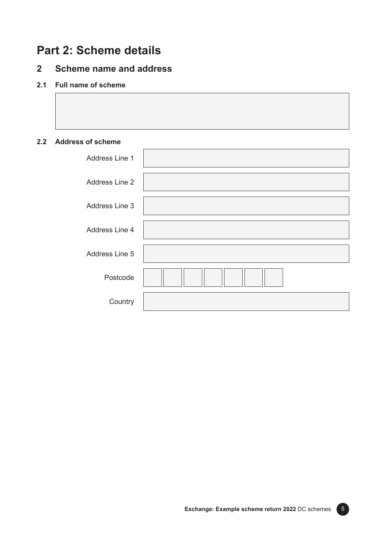## **Part 2: Scheme details**

## **2 Scheme name and address**

#### **2.1 Full name of scheme**

#### **2.2 Address of scheme**

| Address Line 1 |  |
|----------------|--|
| Address Line 2 |  |
| Address Line 3 |  |
| Address Line 4 |  |
| Address Line 5 |  |
| Postcode       |  |
| Country        |  |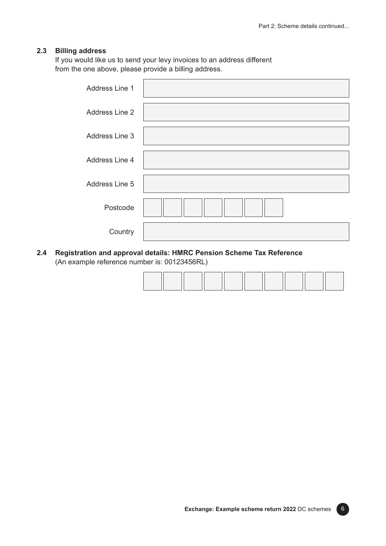#### **2.3 Billing address**

If you would like us to send your levy invoices to an address different from the one above, please provide a billing address.

| Address Line 1 |  |
|----------------|--|
| Address Line 2 |  |
| Address Line 3 |  |
| Address Line 4 |  |
| Address Line 5 |  |
| Postcode       |  |
| Country        |  |

**2.4 Registration and approval details: HMRC Pension Scheme Tax Reference** (An example reference number is: 00123456RL)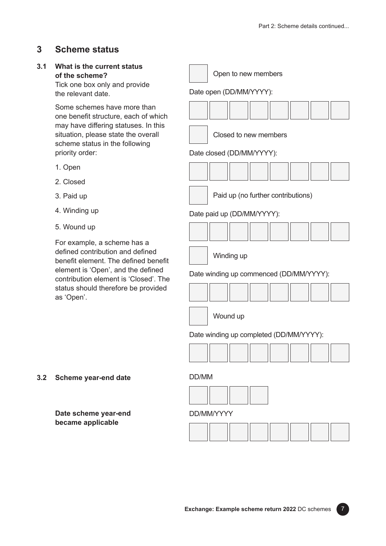## **3 Scheme status**

#### **3.1 What is the current status of the scheme?**

Tick one box only and provide the relevant date.

Some schemes have more than one benefit structure, each of which may have differing statuses. In this situation, please state the overall scheme status in the following priority order:

- 1. Open
- 2. Closed
- 3. Paid up
- 4. Winding up
- 5. Wound up

For example, a scheme has a defined contribution and defined benefit element. The defined benefit element is 'Open', and the defined contribution element is 'Closed'. The status should therefore be provided as 'Open'.

|  | Open to new members |
|--|---------------------|
|--|---------------------|

#### Date open (DD/MM/YYYY):

Closed to new members

#### Date closed (DD/MM/YYYY):





Date paid up (DD/MM/YYYY):



Winding up

Date winding up commenced (DD/MM/YYYY):

Wound up

Date winding up completed (DD/MM/YYYY):



#### **3.2 Scheme year-end date**

**Date scheme year-end became applicable**

DD/MM/YYYY

DD/MM

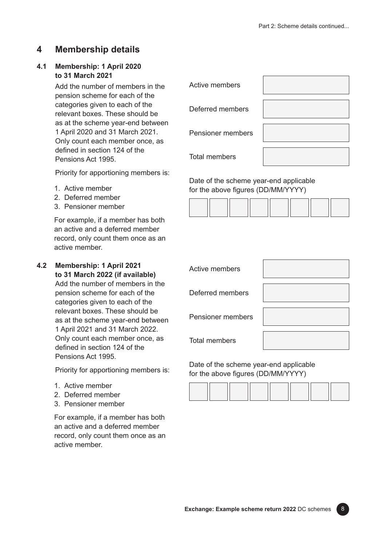## **4 Membership details**

#### **4.1 Membership: 1 April 2020 to 31 March 2021**

Add the number of members in the pension scheme for each of the categories given to each of the relevant boxes. These should be as at the scheme year-end between 1 April 2020 and 31 March 2021. Only count each member once, as defined in section 124 of the Pensions Act 1995.

Priority for apportioning members is:

- 1. Active member
- 2. Deferred member
- 3. Pensioner member

For example, if a member has both an active and a deferred member record, only count them once as an active member.

**4.2 Membership: 1 April 2021 to 31 March 2022 (if available)**

Add the number of members in the pension scheme for each of the categories given to each of the relevant boxes. These should be as at the scheme year-end between 1 April 2021 and 31 March 2022. Only count each member once, as defined in section 124 of the Pensions Act 1995.

Priority for apportioning members is:

- 1. Active member
- 2. Deferred member
- 3. Pensioner member

For example, if a member has both an active and a deferred member record, only count them once as an active member.

| Active members           |  |
|--------------------------|--|
| Deferred members         |  |
| <b>Pensioner members</b> |  |
|                          |  |

Total members

Date of the scheme year-end applicable for the above figures (DD/MM/YYYY)



| Active members           |  |
|--------------------------|--|
| Deferred members         |  |
| <b>Pensioner members</b> |  |
| <b>Total members</b>     |  |

Date of the scheme year-end applicable for the above figures (DD/MM/YYYY)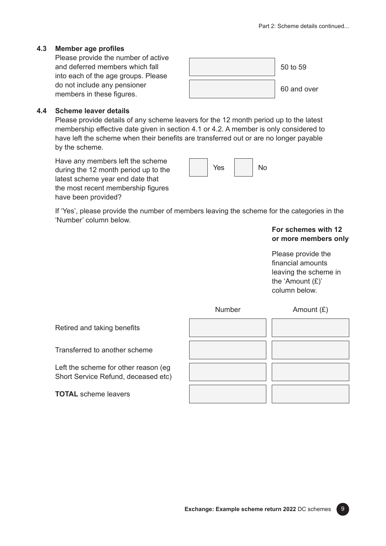#### **4.3 Member age profiles**

Please provide the number of active and deferred members which fall into each of the age groups. Please do not include any pensioner members in these figures.



#### **4.4 Scheme leaver details**

Please provide details of any scheme leavers for the 12 month period up to the latest membership effective date given in section 4.1 or 4.2. A member is only considered to have left the scheme when their benefits are transferred out or are no longer payable by the scheme.

Have any members left the scheme during the 12 month period up to the latest scheme year end date that the most recent membership figures have been provided?



If 'Yes', please provide the number of members leaving the scheme for the categories in the 'Number' column below.

> **For schemes with 12 or more members only**

Please provide the financial amounts leaving the scheme in the 'Amount (£)' column below.



Retired and taking benefits

Transferred to another scheme

Left the scheme for other reason (eg Short Service Refund, deceased etc)

**TOTAL** scheme leavers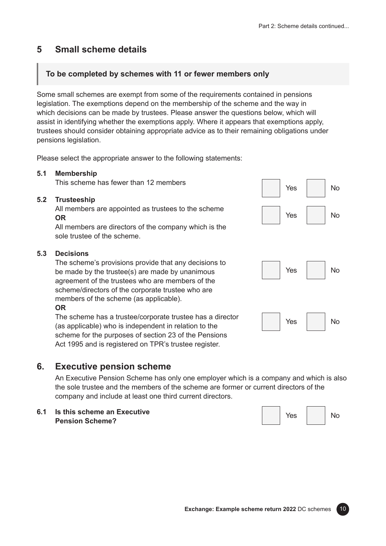## **5 Small scheme details**

### **To be completed by schemes with 11 or fewer members only**

Some small schemes are exempt from some of the requirements contained in pensions legislation. The exemptions depend on the membership of the scheme and the way in which decisions can be made by trustees. Please answer the questions below, which will assist in identifying whether the exemptions apply. Where it appears that exemptions apply, trustees should consider obtaining appropriate advice as to their remaining obligations under pensions legislation.

Please select the appropriate answer to the following statements:

#### **5.1 Membership**

This scheme has fewer than 12 members

#### **5.2 Trusteeship**

All members are appointed as trustees to the scheme **OR**

All members are directors of the company which is the sole trustee of the scheme.

#### **5.3 Decisions**

The scheme's provisions provide that any decisions to be made by the trustee(s) are made by unanimous agreement of the trustees who are members of the scheme/directors of the corporate trustee who are members of the scheme (as applicable).

#### **OR**

The scheme has a trustee/corporate trustee has a director (as applicable) who is independent in relation to the scheme for the purposes of section 23 of the Pensions Act 1995 and is registered on TPR's trustee register.

## **6. Executive pension scheme**

An Executive Pension Scheme has only one employer which is a company and which is also the sole trustee and the members of the scheme are former or current directors of the company and include at least one third current directors.

**6.1 Is this scheme an Executive Pension Scheme?**



Yes

No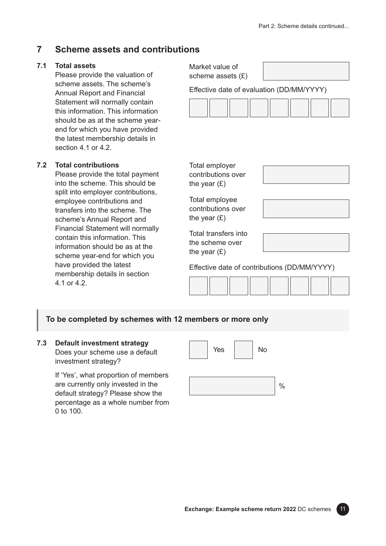## **7 Scheme assets and contributions**

#### **7.1 Total assets**

Please provide the valuation scheme assets. The schem **Annual Report and Financial** Statement will normally con this information. This inform should be as at the scheme end for which you have prothe latest membership deta section 4.1 or 4.2.

#### **7.2 Total contributions**

Please provide the total pay into the scheme. This shoul split into employer contribut employee contributions and transfers into the scheme. scheme's Annual Report an Financial Statement will nor contain this information. This information should be as at scheme year-end for which have provided the latest membership details in section 4.1 or 4.2.

| n of                                | Market value of<br>scheme assets $(E)$                    |                                              |  |  |  |
|-------------------------------------|-----------------------------------------------------------|----------------------------------------------|--|--|--|
| e's<br>al                           | Effective date of evaluation (DD/MM/YYYY)                 |                                              |  |  |  |
| าtain<br>าation                     |                                                           |                                              |  |  |  |
| e year-<br>vided<br>ı <b>ils in</b> |                                                           |                                              |  |  |  |
| yment<br>ld be                      | Total employer<br>contributions over<br>the year $(E)$    |                                              |  |  |  |
| tions,<br>ł<br>The<br>١d            | Total employee<br>contributions over<br>the year $(E)$    |                                              |  |  |  |
| rmally<br>is<br>: the<br>you        | Total transfers into<br>the scheme over<br>the year $(E)$ |                                              |  |  |  |
|                                     |                                                           | Effective date of contributions (DD/MM/YYYY) |  |  |  |

Effective date of contributions (DD/MM/YYYY)



#### **To be completed by schemes with 12 members or more only**

#### **7.3 Default investment strategy**

Does your scheme use a default investment strategy?

If 'Yes', what proportion of members are currently only invested in the default strategy? Please show the percentage as a whole number from 0 to 100.



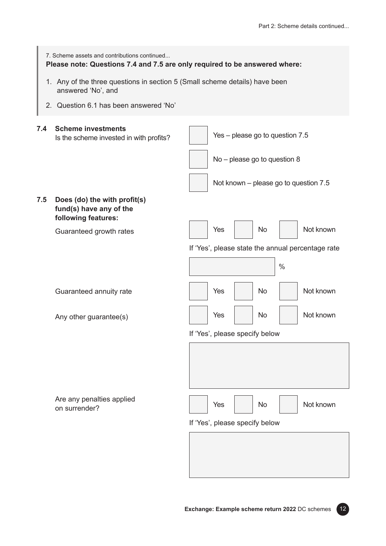|     | 7. Scheme assets and contributions continued<br>Please note: Questions 7.4 and 7.5 are only required to be answered where: |                                                   |  |  |  |
|-----|----------------------------------------------------------------------------------------------------------------------------|---------------------------------------------------|--|--|--|
|     | 1. Any of the three questions in section 5 (Small scheme details) have been<br>answered 'No', and                          |                                                   |  |  |  |
|     | 2. Question 6.1 has been answered 'No'                                                                                     |                                                   |  |  |  |
| 7.4 | <b>Scheme investments</b><br>Is the scheme invested in with profits?                                                       | Yes - please go to question 7.5                   |  |  |  |
|     |                                                                                                                            | No - please go to question 8                      |  |  |  |
|     |                                                                                                                            | Not known – please go to question 7.5             |  |  |  |
| 7.5 | Does (do) the with profit(s)<br>fund(s) have any of the<br>following features:                                             |                                                   |  |  |  |
|     | Guaranteed growth rates                                                                                                    | Not known<br>Yes<br>No                            |  |  |  |
|     |                                                                                                                            | If 'Yes', please state the annual percentage rate |  |  |  |
|     |                                                                                                                            | $\frac{0}{0}$                                     |  |  |  |
|     | Guaranteed annuity rate                                                                                                    | Not known<br>Yes<br>No                            |  |  |  |
|     | Any other guarantee(s)                                                                                                     | Not known<br>Yes<br>No                            |  |  |  |
|     |                                                                                                                            | If 'Yes', please specify below                    |  |  |  |
|     |                                                                                                                            |                                                   |  |  |  |
|     | Are any penalties applied<br>on surrender?                                                                                 | Not known<br>Yes<br>No                            |  |  |  |
|     |                                                                                                                            | If 'Yes', please specify below                    |  |  |  |
|     |                                                                                                                            |                                                   |  |  |  |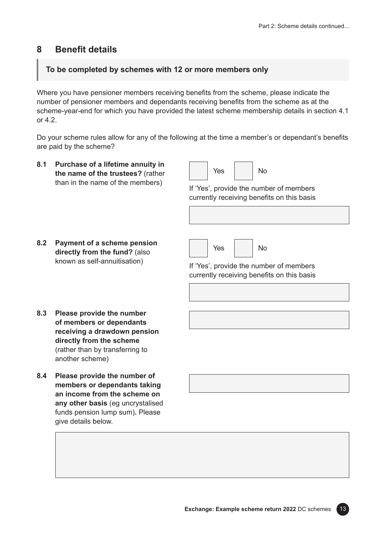## **8 Benefit details**

### **To be completed by schemes with 12 or more members only**

Where you have pensioner members receiving benefits from the scheme, please indicate the number of pensioner members and dependants receiving benefits from the scheme as at the scheme-year-end for which you have provided the latest scheme membership details in section 4.1 or 4.2.

Do your scheme rules allow for any of the following at the time a member's or dependant's benefits are paid by the scheme?

**8.1 Purchase of a lifetime annuity in the name of the trustees?** (rather than in the name of the members)

Yes No

If 'Yes', provide the number of members currently receiving benefits on this basis

**8.2 Payment of a scheme pension directly from the fund?** (also known as self-annuitisation)



If 'Yes', provide the number of members currently receiving benefits on this basis

- **8.3 Please provide the number of members or dependants receiving a drawdown pension directly from the scheme**  (rather than by transferring to another scheme)
- **8.4 Please provide the number of members or dependants taking an income from the scheme on any other basis** (eg uncrystalised funds pension lump sum)**.** Please give details below.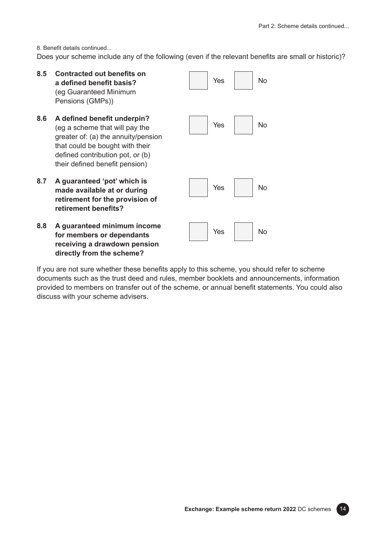No

No

No

No

8. Benefit details continued...

Does your scheme include any of the following (even if the relevant benefits are small or historic)?

**8.5 Contracted out benefits on a defined benefit basis?**  (eg Guaranteed Minimum Pensions (GMPs)) **8.6 A defined benefit underpin?**  (eg a scheme that will pay the greater of: (a) the annuity/pension that could be bought with their defined contribution pot, or (b) their defined benefit pension) **8.7 A guaranteed 'pot' which is made available at or during retirement for the provision of retirement benefits? 8.8 A guaranteed minimum income for members or dependants**  Yes Yes Yes Yes

**receiving a drawdown pension directly from the scheme?**

If you are not sure whether these benefits apply to this scheme, you should refer to scheme documents such as the trust deed and rules, member booklets and announcements, information provided to members on transfer out of the scheme, or annual benefit statements. You could also discuss with your scheme advisers.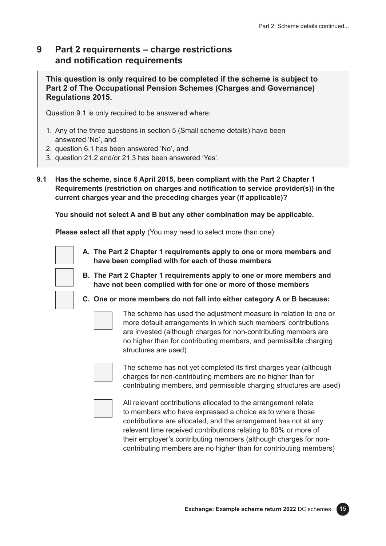## **9 Part 2 requirements – charge restrictions and notification requirements**

**This question is only required to be completed if the scheme is subject to Part 2 of The Occupational Pension Schemes (Charges and Governance) Regulations 2015.**

Question 9.1 is only required to be answered where:

- 1. Any of the three questions in section 5 (Small scheme details) have been answered 'No', and
- 2. question 6.1 has been answered 'No', and
- 3. question 21.2 and/or 21.3 has been answered 'Yes'.
- **9.1 Has the scheme, since 6 April 2015, been compliant with the Part 2 Chapter 1 Requirements (restriction on charges and notification to service provider(s)) in the current charges year and the preceding charges year (if applicable)?**

**You should not select A and B but any other combination may be applicable.**

**Please select all that apply** (You may need to select more than one):

- **A. The Part 2 Chapter 1 requirements apply to one or more members and have been complied with for each of those members**
- **B. The Part 2 Chapter 1 requirements apply to one or more members and have not been complied with for one or more of those members**



**C. One or more members do not fall into either category A or B because:**



The scheme has used the adjustment measure in relation to one or more default arrangements in which such members' contributions are invested (although charges for non-contributing members are no higher than for contributing members, and permissible charging structures are used)



The scheme has not yet completed its first charges year (although charges for non-contributing members are no higher than for contributing members, and permissible charging structures are used)



All relevant contributions allocated to the arrangement relate to members who have expressed a choice as to where those contributions are allocated, and the arrangement has not at any relevant time received contributions relating to 80% or more of their employer's contributing members (although charges for noncontributing members are no higher than for contributing members)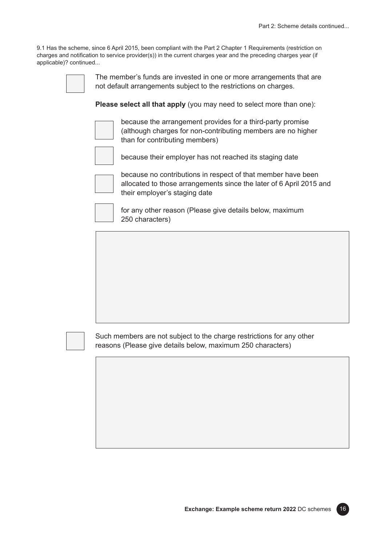9.1 Has the scheme, since 6 April 2015, been compliant with the Part 2 Chapter 1 Requirements (restriction on charges and notification to service provider(s)) in the current charges year and the preceding charges year (if applicable)? continued...

The member's funds are invested in one or more arrangements that are not default arrangements subject to the restrictions on charges.

**Please select all that apply** (you may need to select more than one):



because the arrangement provides for a third-party promise (although charges for non-contributing members are no higher than for contributing members)



because their employer has not reached its staging date

because no contributions in respect of that member have been allocated to those arrangements since the later of 6 April 2015 and their employer's staging date



for any other reason (Please give details below, maximum 250 characters)



Such members are not subject to the charge restrictions for any other reasons (Please give details below, maximum 250 characters)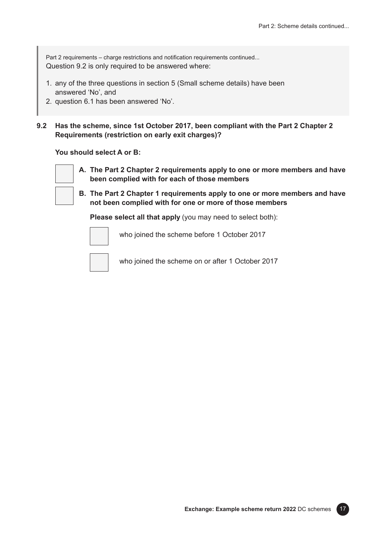Part 2 requirements – charge restrictions and notification requirements continued... Question 9.2 is only required to be answered where:

- 1. any of the three questions in section 5 (Small scheme details) have been answered 'No', and
- 2. question 6.1 has been answered 'No'.

**9.2 Has the scheme, since 1st October 2017, been compliant with the Part 2 Chapter 2 Requirements (restriction on early exit charges)?**

**You should select A or B:**



- **A. The Part 2 Chapter 2 requirements apply to one or more members and have been complied with for each of those members**
- **B. The Part 2 Chapter 1 requirements apply to one or more members and have not been complied with for one or more of those members**

**Please select all that apply** (you may need to select both):



who joined the scheme before 1 October 2017



who joined the scheme on or after 1 October 2017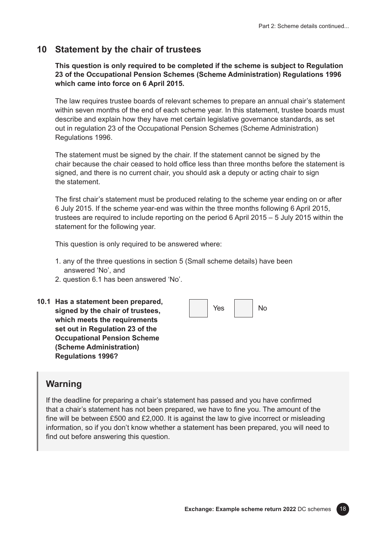### **10 Statement by the chair of trustees**

**This question is only required to be completed if the scheme is subject to Regulation 23 of the Occupational Pension Schemes (Scheme Administration) Regulations 1996 which came into force on 6 April 2015.**

The law requires trustee boards of relevant schemes to prepare an annual chair's statement within seven months of the end of each scheme year. In this statement, trustee boards must describe and explain how they have met certain legislative governance standards, as set out in regulation 23 of the Occupational Pension Schemes (Scheme Administration) Regulations 1996.

The statement must be signed by the chair. If the statement cannot be signed by the chair because the chair ceased to hold office less than three months before the statement is signed, and there is no current chair, you should ask a deputy or acting chair to sign the statement.

The first chair's statement must be produced relating to the scheme year ending on or after 6 July 2015. If the scheme year-end was within the three months following 6 April 2015, trustees are required to include reporting on the period 6 April 2015 – 5 July 2015 within the statement for the following year.

This question is only required to be answered where:

- 1. any of the three questions in section 5 (Small scheme details) have been answered 'No', and
- 2. question 6.1 has been answered 'No'.
- **10.1 Has a statement been prepared, signed by the chair of trustees, which meets the requirements set out in Regulation 23 of the Occupational Pension Scheme (Scheme Administration) Regulations 1996?**



### **Warning**

If the deadline for preparing a chair's statement has passed and you have confirmed that a chair's statement has not been prepared, we have to fine you. The amount of the fine will be between £500 and £2,000. It is against the law to give incorrect or misleading information, so if you don't know whether a statement has been prepared, you will need to find out before answering this question.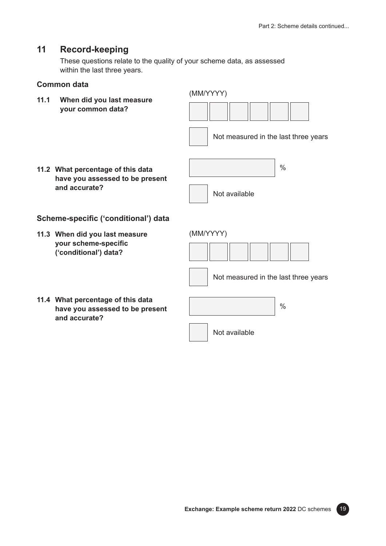## **11 Record-keeping**

These questions relate to the quality of your scheme data, as assessed within the last three years.

#### **Common data**

**11.1 When did you last measure your common data?**



Not measured in the last three years

**11.2 What percentage of this data have you assessed to be present and accurate?**



(MM/YYYY)

#### **Scheme-specific ('conditional') data**

**11.3 When did you last measure your scheme-specific ('conditional') data?**

Not measured in the last three years

**11.4 What percentage of this data have you assessed to be present and accurate?**



Not available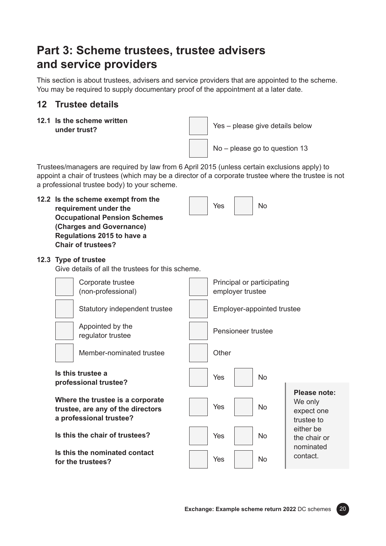## **Part 3: Scheme trustees, trustee advisers and service providers**

This section is about trustees, advisers and service providers that are appointed to the scheme. You may be required to supply documentary proof of the appointment at a later date.

## **12 Trustee details**

**12.1 Is the scheme written** 



Trustees/managers are required by law from 6 April 2015 (unless certain exclusions apply) to appoint a chair of trustees (which may be a director of a corporate trustee where the trustee is not a professional trustee body) to your scheme.

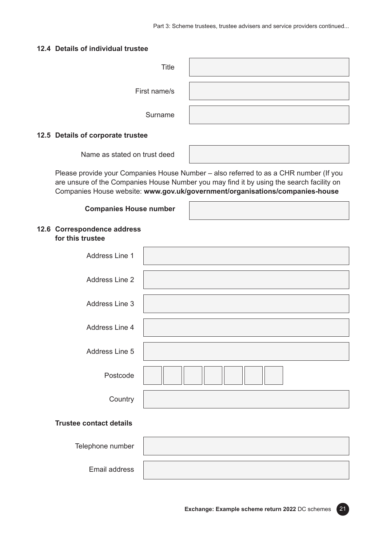#### **12.4 Details of individual trustee**

| Title        |  |
|--------------|--|
| First name/s |  |
| Surname      |  |

#### **12.5 Details of corporate trustee**

Name as stated on trust deed

Please provide your Companies House Number – also referred to as a CHR number (If you are unsure of the Companies House Number you may find it by using the search facility on Companies House website: **[www.gov.uk/government/organisations/companies-house](http://www.gov.uk/government/organisations/companies-house)**

#### **Companies House number**

| 12.6 Correspondence address |
|-----------------------------|
| for this trustee            |

| Address Line 1 |  |
|----------------|--|
| Address Line 2 |  |
| Address Line 3 |  |
| Address Line 4 |  |
| Address Line 5 |  |
| Postcode       |  |
| Country        |  |

#### **Trustee contact details**

| Telephone number |  |
|------------------|--|
| Email address    |  |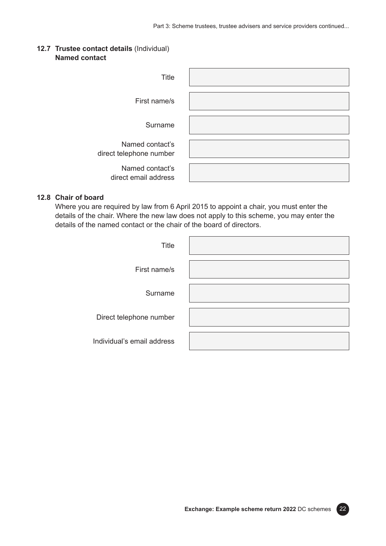#### **12.7 Trustee contact details** (Individual) **Named contact**

| Title                                      |  |
|--------------------------------------------|--|
| First name/s                               |  |
| Surname                                    |  |
| Named contact's<br>direct telephone number |  |
| Named contact's<br>direct email address    |  |

#### **12.8 Chair of board**

Where you are required by law from 6 April 2015 to appoint a chair, you must enter the details of the chair. Where the new law does not apply to this scheme, you may enter the details of the named contact or the chair of the board of directors.

| Title                      |  |
|----------------------------|--|
| First name/s               |  |
| Surname                    |  |
| Direct telephone number    |  |
| Individual's email address |  |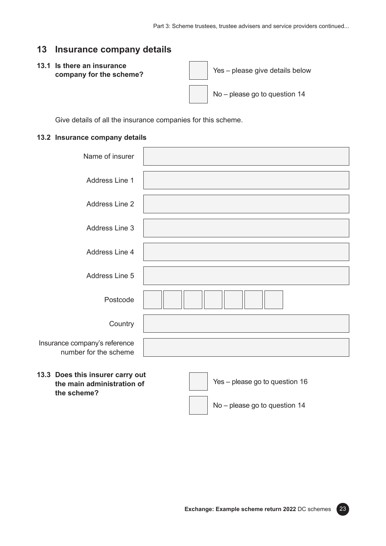### **13 Insurance company details**

#### **13.1 Is there an insurance company for the scheme?**

Yes – please give details below No – please go to question 14

Give details of all the insurance companies for this scheme.

#### **13.2 Insurance company details**

| Name of insurer                                                |                                |
|----------------------------------------------------------------|--------------------------------|
| Address Line 1                                                 |                                |
| Address Line 2                                                 |                                |
| Address Line 3                                                 |                                |
| Address Line 4                                                 |                                |
| Address Line 5                                                 |                                |
| Postcode                                                       |                                |
| Country                                                        |                                |
| Insurance company's reference<br>number for the scheme         |                                |
| 13.3 Does this insurer carry out<br>the main administration of | Yes - please go to question 16 |

**the main administration of the scheme?**

No – please go to question 14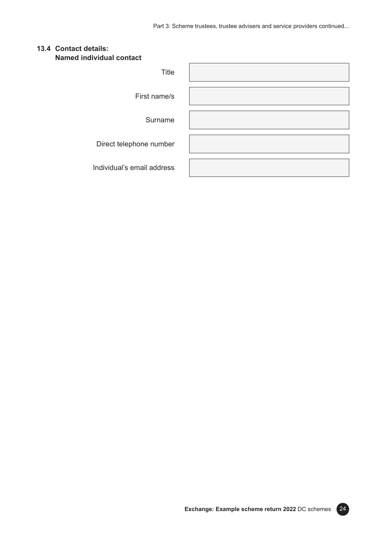#### **13.4 Contact details: Named individual contact**

| Title                      |  |
|----------------------------|--|
| First name/s               |  |
| Surname                    |  |
| Direct telephone number    |  |
| Individual's email address |  |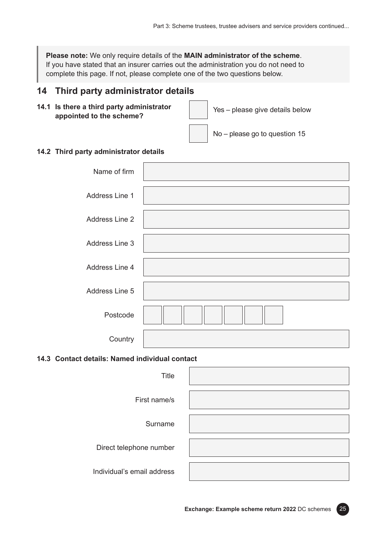**Please note:** We only require details of the **MAIN administrator of the scheme**. If you have stated that an insurer carries out the administration you do not need to complete this page. If not, please complete one of the two questions below.

## **14 Third party administrator details**

**14.1 Is there a third party administrator appointed to the scheme?**

Yes – please give details below

No – please go to question 15

#### **14.2 Third party administrator details**

| Name of firm   |  |
|----------------|--|
| Address Line 1 |  |
| Address Line 2 |  |
| Address Line 3 |  |
| Address Line 4 |  |
| Address Line 5 |  |
| Postcode       |  |
| Country        |  |

#### **14.3 Contact details: Named individual contact**

| <b>Title</b>               |  |
|----------------------------|--|
| First name/s               |  |
| Surname                    |  |
| Direct telephone number    |  |
| Individual's email address |  |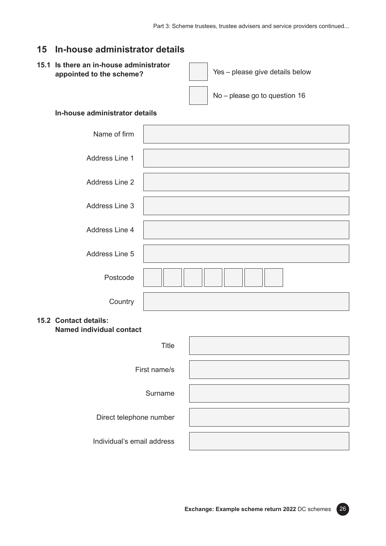## **15 In-house administrator details**

#### **15.1 Is there an in-house administrator appointed to the scheme?** Yes – please give details below

No – please go to question 16

#### **In-house administrator details**

| Name of firm   |  |
|----------------|--|
| Address Line 1 |  |
| Address Line 2 |  |
| Address Line 3 |  |
| Address Line 4 |  |
| Address Line 5 |  |
| Postcode       |  |
| Country        |  |

#### **15.2 Contact details: Named individual contact**

| Title                      |  |
|----------------------------|--|
| First name/s               |  |
| Surname                    |  |
| Direct telephone number    |  |
| Individual's email address |  |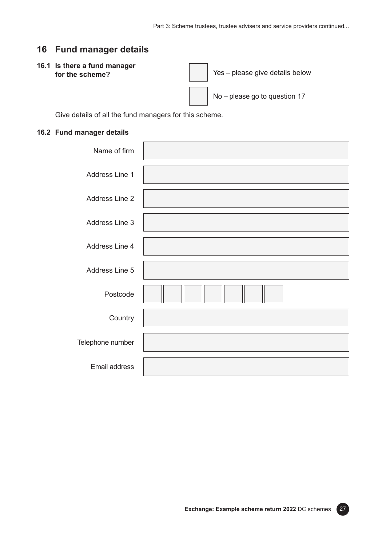## **16 Fund manager details**

#### **16.1 Is there a fund manager for the scheme?**

Yes – please give details below

No – please go to question 17

Give details of all the fund managers for this scheme.

#### **16.2 Fund manager details**

| Name of firm     |  |
|------------------|--|
| Address Line 1   |  |
| Address Line 2   |  |
| Address Line 3   |  |
| Address Line 4   |  |
| Address Line 5   |  |
| Postcode         |  |
| Country          |  |
| Telephone number |  |
| Email address    |  |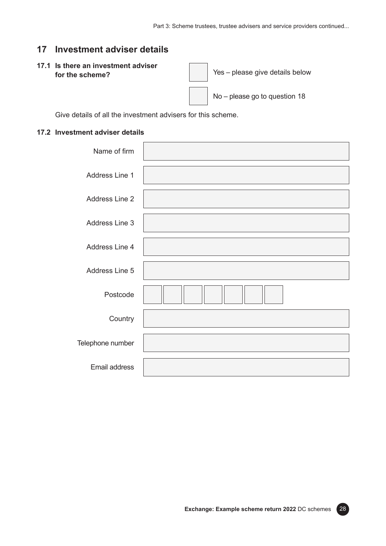### **17 Investment adviser details**

#### **17.1 Is there an investment adviser for the scheme? for the scheme?** *for the scheme?*

No – please go to question 18

Give details of all the investment advisers for this scheme.

#### **17.2 Investment adviser details**

| Name of firm          |  |
|-----------------------|--|
| Address Line 1        |  |
| <b>Address Line 2</b> |  |
| Address Line 3        |  |
| Address Line 4        |  |
| Address Line 5        |  |
| Postcode              |  |
| Country               |  |
| Telephone number      |  |
| Email address         |  |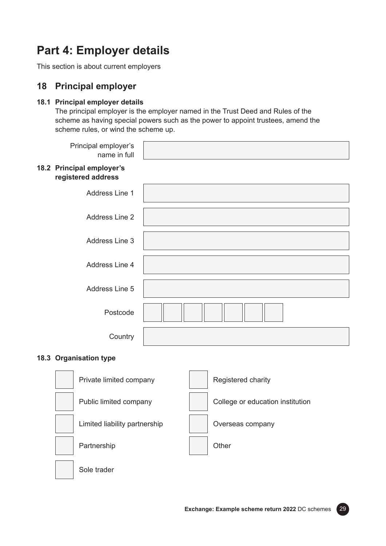## **Part 4: Employer details**

This section is about current employers

## **18 Principal employer**

#### **18.1 Principal employer details**

The principal employer is the employer named in the Trust Deed and Rules of the scheme as having special powers such as the power to appoint trustees, amend the scheme rules, or wind the scheme up.

| Principal employer's<br>name in full            |  |
|-------------------------------------------------|--|
| 18.2 Principal employer's<br>registered address |  |
| Address Line 1                                  |  |
| Address Line 2                                  |  |
| Address Line 3                                  |  |
| Address Line 4                                  |  |
| Address Line 5                                  |  |
| Postcode                                        |  |
| Country                                         |  |

#### **18.3 Organisation type**

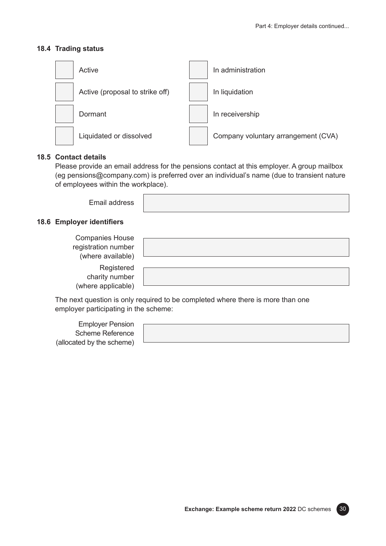#### **18.4 Trading status**



#### **18.5 Contact details**

Please provide an email address for the pensions contact at this employer. A group mailbox (eg [pensions@company.com\)](mailto:pensions@company.com) is preferred over an individual's name (due to transient nature of employees within the workplace).

Email address

#### **18.6 Employer identifiers**

| <b>Companies House</b><br>registration number<br>(where available) |  |
|--------------------------------------------------------------------|--|
| Registered<br>charity number<br>(where applicable)                 |  |

The next question is only required to be completed where there is more than one employer participating in the scheme:

Employer Pension Scheme Reference (allocated by the scheme)

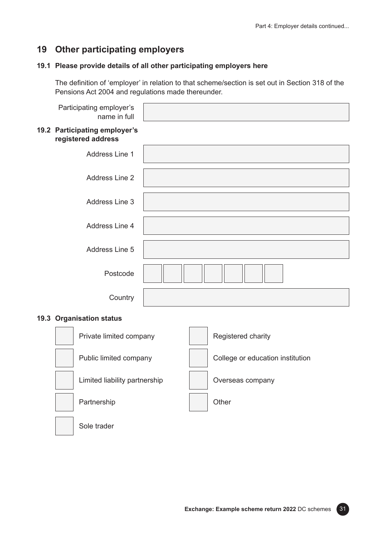## **19 Other participating employers**

#### **19.1 Please provide details of all other participating employers here**

The definition of 'employer' in relation to that scheme/section is set out in Section 318 of the Pensions Act 2004 and regulations made thereunder.

| Participating employer's<br>name in full            |  |
|-----------------------------------------------------|--|
| 19.2 Participating employer's<br>registered address |  |
| Address Line 1                                      |  |
| Address Line 2                                      |  |
| Address Line 3                                      |  |
| Address Line 4                                      |  |
| Address Line 5                                      |  |
| Postcode                                            |  |
| Country                                             |  |
| 19.3 Organisation status                            |  |
|                                                     |  |

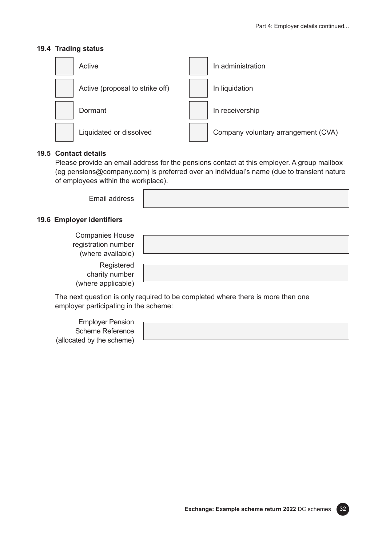#### **19.4 Trading status**



#### **19.5 Contact details**

Please provide an email address for the pensions contact at this employer. A group mailbox (eg [pensions@company.com\)](mailto:pensions@company.com) is preferred over an individual's name (due to transient nature of employees within the workplace).

Email address

## **19.6 Employer identifiers**

| <b>Companies House</b><br>registration number<br>(where available) |  |
|--------------------------------------------------------------------|--|
| Registered<br>charity number<br>(where applicable)                 |  |

The next question is only required to be completed where there is more than one employer participating in the scheme:

Employer Pension Scheme Reference (allocated by the scheme)

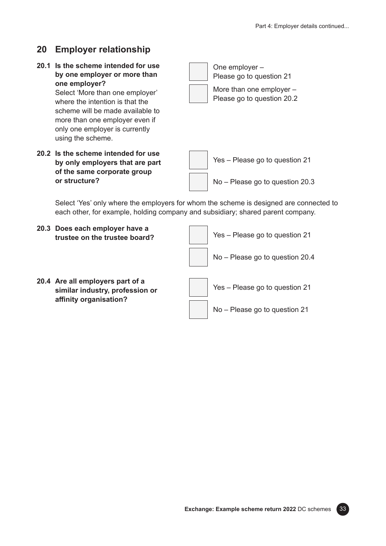## **20 Employer relationship**

**20.1 Is the scheme intended for use by one employer or more than one employer?**

> Select 'More than one employer' where the intention is that the scheme will be made available to more than one employer even if only one employer is currently using the scheme.

**20.2 Is the scheme intended for use by only employers that are part of the same corporate group or structure?**

One employer –

Please go to question 21 More than one employer – Please go to question 20.2

Yes – Please go to question 21 No – Please go to question 20.3

Select 'Yes' only where the employers for whom the scheme is designed are connected to each other, for example, holding company and subsidiary; shared parent company.

- **20.3 Does each employer have a trustee on the trustee board?**
- **20.4 Are all employers part of a similar industry, profession or affinity organisation?**

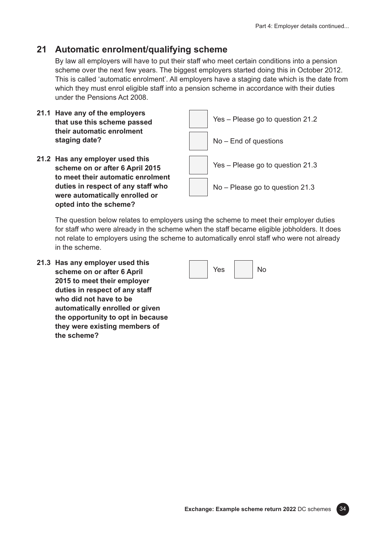## **21 Automatic enrolment/qualifying scheme**

By law all employers will have to put their staff who meet certain conditions into a pension scheme over the next few years. The biggest employers started doing this in October 2012. This is called 'automatic enrolment'. All employers have a staging date which is the date from which they must enrol eligible staff into a pension scheme in accordance with their duties under the Pensions Act 2008.

- **21.1 Have any of the employers that use this scheme passed their automatic enrolment staging date?**
- **21.2 Has any employer used this scheme on or after 6 April 2015 to meet their automatic enrolment duties in respect of any staff who were automatically enrolled or opted into the scheme?**



The question below relates to employers using the scheme to meet their employer duties for staff who were already in the scheme when the staff became eligible jobholders. It does not relate to employers using the scheme to automatically enrol staff who were not already in the scheme.

**21.3 Has any employer used this scheme on or after 6 April 2015 to meet their employer duties in respect of any staff who did not have to be automatically enrolled or given the opportunity to opt in because they were existing members of the scheme?**